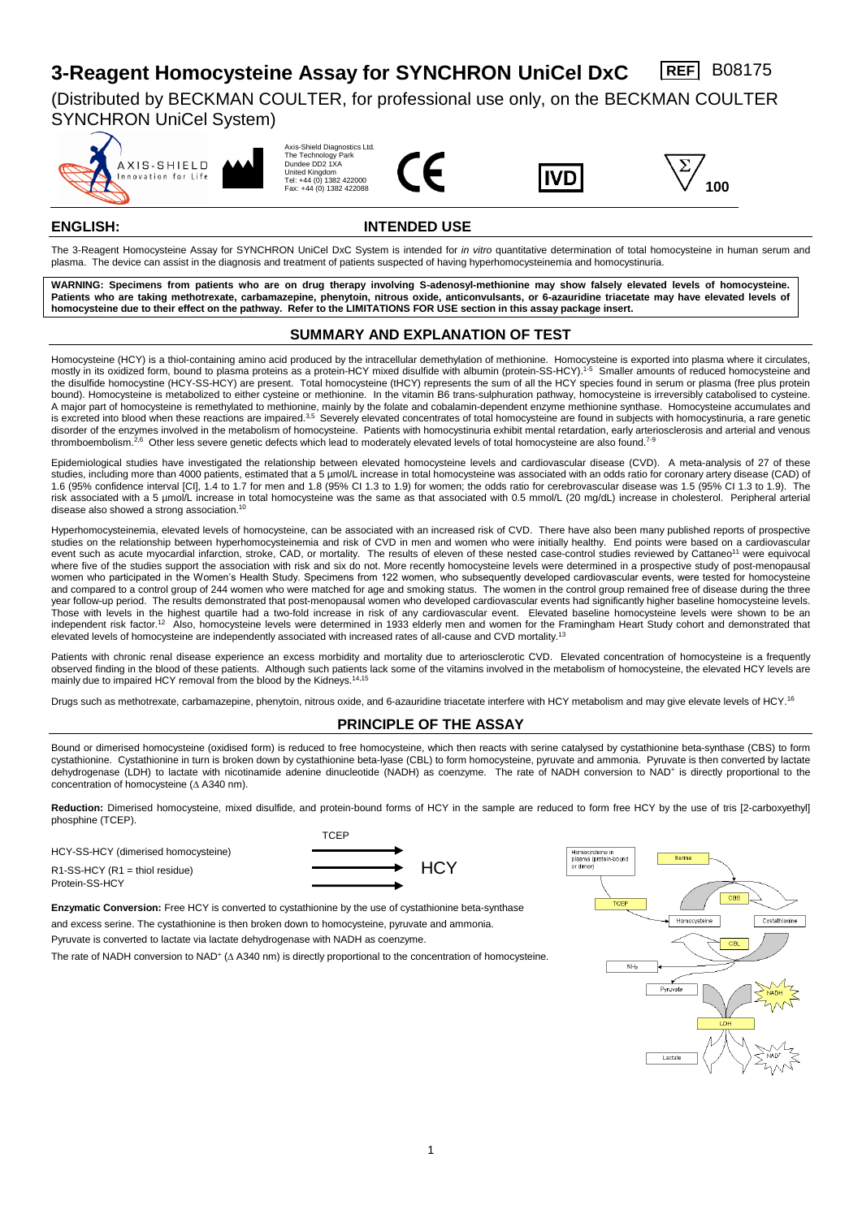# **3-Reagent Homocysteine Assay for SYNCHRON UniCel DxC REF** B08175

(Distributed by BECKMAN COULTER, for professional use only, on the BECKMAN COULTER SYNCHRON UniCel System)











# **ENGLISH: INTENDED USE**

The 3-Reagent Homocysteine Assay for SYNCHRON UniCel DxC System is intended for *in vitro* quantitative determination of total homocysteine in human serum and plasma. The device can assist in the diagnosis and treatment of patients suspected of having hyperhomocysteinemia and homocystinuria.

**WARNING: Specimens from patients who are on drug therapy involving S-adenosyl-methionine may show falsely elevated levels of homocysteine. Patients who are taking methotrexate, carbamazepine, phenytoin, nitrous oxide, anticonvulsants, or 6-azauridine triacetate may have elevated levels of homocysteine due to their effect on the pathway. Refer to the LIMITATIONS FOR USE section in this assay package insert.**

# **SUMMARY AND EXPLANATION OF TEST**

Homocysteine (HCY) is a thiol-containing amino acid produced by the intracellular demethylation of methionine. Homocysteine is exported into plasma where it circulates, mostly in its oxidized form, bound to plasma proteins as a protein-HCY mixed disulfide with albumin (protein-SS-HCY).<sup>1-5</sup> Smaller amounts of reduced homocysteine and the disulfide homocystine (HCY-SS-HCY) are present. Total homocysteine (tHCY) represents the sum of all the HCY species found in serum or plasma (free plus protein bound). Homocysteine is metabolized to either cysteine or methionine. In the vitamin B6 trans-sulphuration pathway, homocysteine is irreversibly catabolised to cysteine. A major part of homocysteine is remethylated to methionine, mainly by the folate and cobalamin-dependent enzyme methionine synthase. Homocysteine accumulates and is excreted into blood when these reactions are impaired.<sup>3,5</sup> Severely elevated concentrates of total homocysteine are found in subjects with homocystinuria, a rare genetic disorder of the enzymes involved in the metabolism of homocysteine. Patients with homocystinuria exhibit mental retardation, early arteriosclerosis and arterial and venous thromboembolism.<sup>2,6</sup> Other less severe genetic defects which lead to moderately elevated levels of total homocysteine are also found.<sup>7-9</sup>

Epidemiological studies have investigated the relationship between elevated homocysteine levels and cardiovascular disease (CVD). A meta-analysis of 27 of these studies, including more than 4000 patients, estimated that a 5 µmol/L increase in total homocysteine was associated with an odds ratio for coronary artery disease (CAD) of 1.6 (95% confidence interval [CI], 1.4 to 1.7 for men and 1.8 (95% CI 1.3 to 1.9) for women; the odds ratio for cerebrovascular disease was 1.5 (95% CI 1.3 to 1.9). The risk associated with a 5 µmol/L increase in total homocysteine was the same as that associated with 0.5 mmol/L (20 mg/dL) increase in cholesterol. Peripheral arterial disease also showed a strong association.<sup>10</sup>

Hyperhomocysteinemia, elevated levels of homocysteine, can be associated with an increased risk of CVD. There have also been many published reports of prospective studies on the relationship between hyperhomocysteinemia and risk of CVD in men and women who were initially healthy. End points were based on a cardiovascular event such as acute myocardial infarction, stroke, CAD, or mortality. The results of eleven of these nested case-control studies reviewed by Cattaneo<sup>11</sup> were equivocal where five of the studies support the association with risk and six do not. More recently homocysteine levels were determined in a prospective study of post-menopausal women who participated in the Women's Health Study. Specimens from 122 women, who subsequently developed cardiovascular events, were tested for homocysteine and compared to a control group of 244 women who were matched for age and smoking status. The women in the control group remained free of disease during the three year follow-up period. The results demonstrated that post-menopausal women who developed cardiovascular events had significantly higher baseline homocysteine levels. Those with levels in the highest quartile had a two-fold increase in risk of any cardiovascular event. Elevated baseline homocysteine levels were shown to be an independent risk factor.<sup>12</sup> Also, homocysteine levels were determined in 1933 elderly men and women for the Framingham Heart Study cohort and demonstrated that elevated levels of homocysteine are independently associated with increased rates of all-cause and CVD mortality.<sup>13</sup>

Patients with chronic renal disease experience an excess morbidity and mortality due to arteriosclerotic CVD. Elevated concentration of homocysteine is a frequently observed finding in the blood of these patients. Although such patients lack some of the vitamins involved in the metabolism of homocysteine, the elevated HCY levels are mainly due to impaired HCY removal from the blood by the Kidneys.<sup>14,15</sup>

Drugs such as methotrexate, carbamazepine, phenytoin, nitrous oxide, and 6-azauridine triacetate interfere with HCY metabolism and may give elevate levels of HCY.<sup>16</sup>

# **PRINCIPLE OF THE ASSAY**

Bound or dimerised homocysteine (oxidised form) is reduced to free homocysteine, which then reacts with serine catalysed by cystathionine beta-synthase (CBS) to form cystathionine. Cystathionine in turn is broken down by cystathionine beta-lyase (CBL) to form homocysteine, pyruvate and ammonia. Pyruvate is then converted by lactate dehydrogenase (LDH) to lactate with nicotinamide adenine dinucleotide (NADH) as coenzyme. The rate of NADH conversion to NAD<sup>+</sup> is directly proportional to the concentration of homocysteine ( $\Delta$  A340 nm).

Reduction: Dimerised homocysteine, mixed disulfide, and protein-bound forms of HCY in the sample are reduced to form free HCY by the use of tris [2-carboxyethyl] phosphine (TCEP).

HCY-SS-HCY (dimerised homocysteine) Protein-SS-HCY



 $R1-SS-HCY (R1 = thiol residue)$   $\longrightarrow HCY$ 

**Enzymatic Conversion:** Free HCY is converted to cystathionine by the use of cystathionine beta-synthase and excess serine. The cystathionine is then broken down to homocysteine, pyruvate and ammonia.

Pyruvate is converted to lactate via lactate dehydrogenase with NADH as coenzyme.

The rate of NADH conversion to  $NAD^+$  ( $\Delta$  A340 nm) is directly proportional to the concentration of homocysteine.

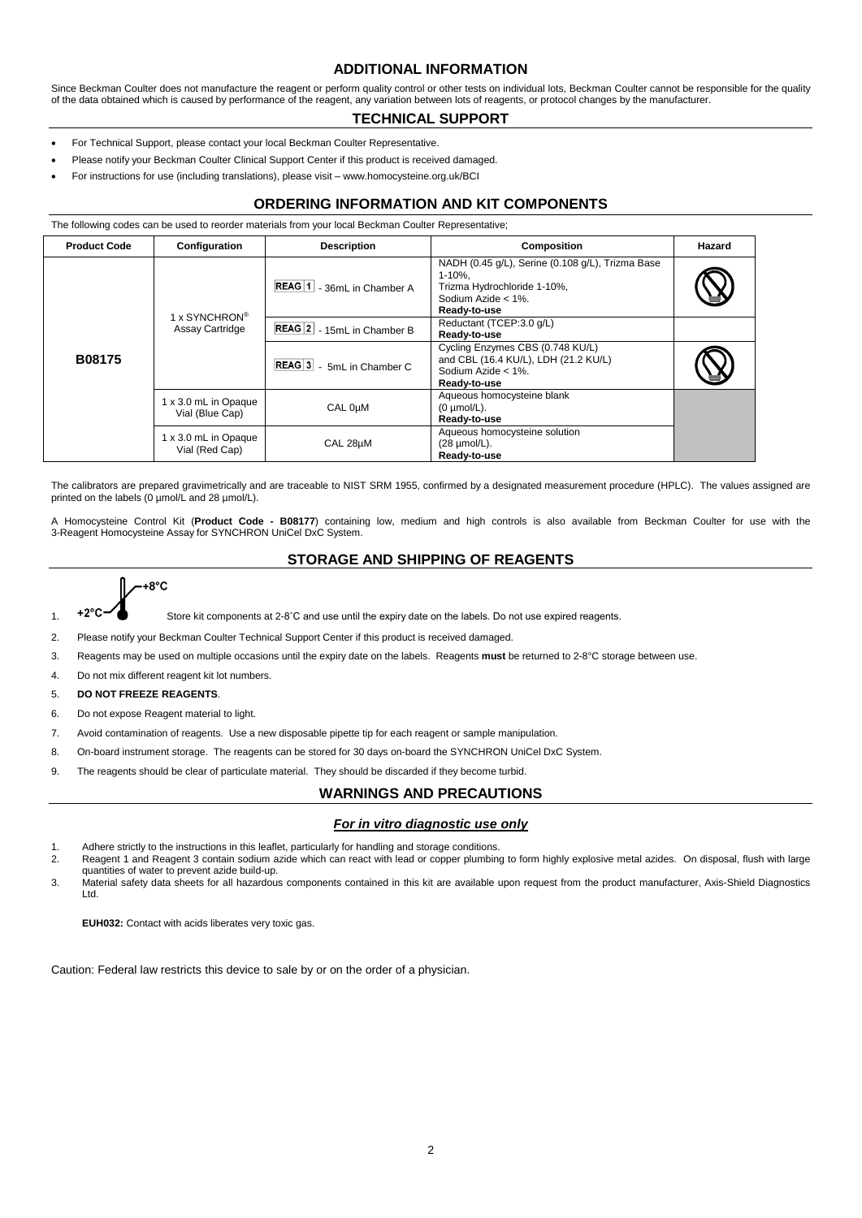# **ADDITIONAL INFORMATION**

Since Beckman Coulter does not manufacture the reagent or perform quality control or other tests on individual lots, Beckman Coulter cannot be responsible for the quality of the data obtained which is caused by performance of the reagent, any variation between lots of reagents, or protocol changes by the manufacturer.

#### **TECHNICAL SUPPORT**

- For Technical Support, please contact your local Beckman Coulter Representative.
- Please notify your Beckman Coulter Clinical Support Center if this product is received damaged.
- For instructions for use (including translations), please visit www.homocysteine.org.uk/BCI

## **ORDERING INFORMATION AND KIT COMPONENTS**

The following codes can be used to reorder materials from your local Beckman Coulter Representative;

| <b>Product Code</b> | Configuration                                       | <b>Description</b>                      | Composition                                                                                                                              | Hazard |
|---------------------|-----------------------------------------------------|-----------------------------------------|------------------------------------------------------------------------------------------------------------------------------------------|--------|
| <b>B08175</b>       | 1 x SYNCHRON <sup>®</sup><br><b>Assay Cartridge</b> | REAG  1   - 36mL in Chamber A           | NADH (0.45 g/L), Serine (0.108 g/L), Trizma Base<br>$1 - 10%$ .<br>Trizma Hydrochloride 1-10%,<br>Sodium Azide $< 1\%$ .<br>Ready-to-use |        |
|                     |                                                     | REAG 2 - 15mL in Chamber B              | Reductant (TCEP:3.0 g/L)<br>Ready-to-use                                                                                                 |        |
|                     |                                                     | REAG <sub>3</sub><br>- 5mL in Chamber C | Cycling Enzymes CBS (0.748 KU/L)<br>and CBL (16.4 KU/L), LDH (21.2 KU/L)<br>Sodium Azide $< 1\%$ .<br>Ready-to-use                       |        |
|                     | 1 x 3.0 mL in Opaque<br>CAL 0µM<br>Vial (Blue Cap)  |                                         | Aqueous homocysteine blank<br>$(0 \mu \text{mol/L}).$<br>Ready-to-use                                                                    |        |
|                     | 1 x 3.0 mL in Opaque<br>Vial (Red Cap)              | CAL 28µM                                | Aqueous homocysteine solution<br>$(28 \mu \text{mol/L}).$<br>Ready-to-use                                                                |        |

The calibrators are prepared gravimetrically and are traceable to NIST SRM 1955, confirmed by a designated measurement procedure (HPLC). The values assigned are printed on the labels (0 µmol/L and 28 µmol/L).

A Homocysteine Control Kit (**Product Code - B08177**) containing low, medium and high controls is also available from Beckman Coulter for use with the 3-Reagent Homocysteine Assay for SYNCHRON UniCel DxC System.

# **STORAGE AND SHIPPING OF REAGENTS**



1. +2°C $\blacktriangleleft$  Store kit components at 2-8°C and use until the expiry date on the labels. Do not use expired reagents.

- 2. Please notify your Beckman Coulter Technical Support Center if this product is received damaged.
- 3. Reagents may be used on multiple occasions until the expiry date on the labels. Reagents **must** be returned to 2-8°C storage between use.
- 4. Do not mix different reagent kit lot numbers.
- 5. **DO NOT FREEZE REAGENTS**.
- 6. Do not expose Reagent material to light.
- 7. Avoid contamination of reagents. Use a new disposable pipette tip for each reagent or sample manipulation.
- 8. On-board instrument storage. The reagents can be stored for 30 days on-board the SYNCHRON UniCel DxC System.
- 9. The reagents should be clear of particulate material. They should be discarded if they become turbid.

# **WARNINGS AND PRECAUTIONS**

#### *For in vitro diagnostic use only*

- 1. Adhere strictly to the instructions in this leaflet, particularly for handling and storage conditions.<br>2. Reagent 1 and Reagent 3 contain sodium azide which can react with lead or conner plumbing
- Reagent 1 and Reagent 3 contain sodium azide which can react with lead or copper plumbing to form highly explosive metal azides. On disposal, flush with large quantities of water to prevent azide build-up.
- 3. Material safety data sheets for all hazardous components contained in this kit are available upon request from the product manufacturer, Axis-Shield Diagnostics Ltd.

**EUH032:** Contact with acids liberates very toxic gas.

Caution: Federal law restricts this device to sale by or on the order of a physician.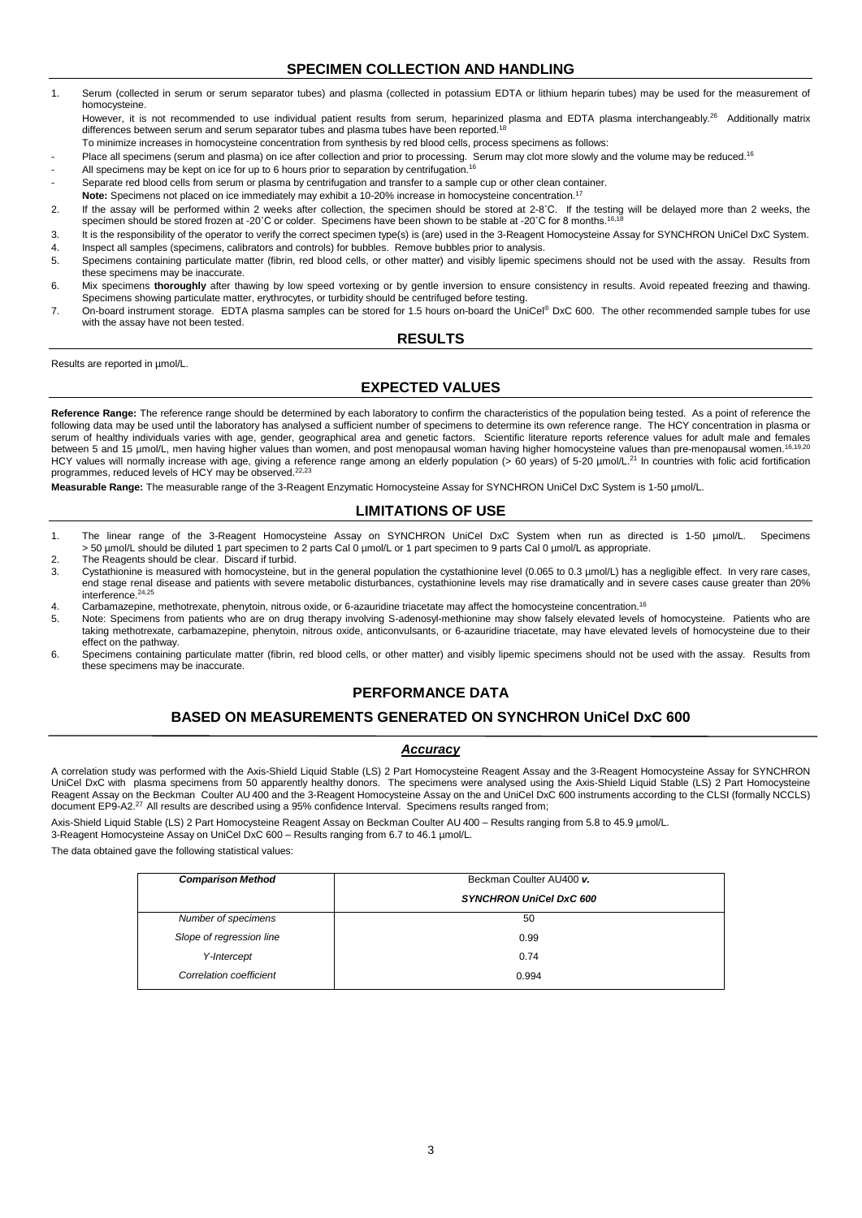# **SPECIMEN COLLECTION AND HANDLING**

- 1. Serum (collected in serum or serum separator tubes) and plasma (collected in potassium EDTA or lithium heparin tubes) may be used for the measurement of homocysteine. However, it is not recommended to use individual patient results from serum, heparinized plasma and EDTA plasma interchangeably.<sup>26</sup> Additionally matrix
- differences between serum and serum separator tubes and plasma tubes have been reported.<sup>18</sup>
- To minimize increases in homocysteine concentration from synthesis by red blood cells, process specimens as follows:
- Place all specimens (serum and plasma) on ice after collection and prior to processing. Serum may clot more slowly and the volume may be reduced.<sup>16</sup>
- All specimens may be kept on ice for up to 6 hours prior to separation by centrifugation.<sup>16</sup>
- Separate red blood cells from serum or plasma by centrifugation and transfer to a sample cup or other clean container.
- **Note:** Specimens not placed on ice immediately may exhibit a 10-20% increase in homocysteine concentration. 17
- 2. If the assay will be performed within 2 weeks after collection, the specimen should be stored at 2-8˚C. If the testing will be delayed more than 2 weeks, the specimen should be stored frozen at -20˚C or colder. Specimens have been shown to be stable at -20˚C for 8 months.<sup>16,18</sup>
- 3. It is the responsibility of the operator to verify the correct specimen type(s) is (are) used in the 3-Reagent Homocysteine Assay for SYNCHRON UniCel DxC System. 4. Inspect all samples (specimens, calibrators and controls) for bubbles. Remove bubbles prior to analysis.<br>5. Specimens containing particulate matter (fibrin, red blood cells, or other matter) and visibly lipemic spe
- 5. Specimens containing particulate matter (fibrin, red blood cells, or other matter) and visibly lipemic specimens should not be used with the assay. Results from these specimens may be inaccurate.
- 6. Mix specimens **thoroughly** after thawing by low speed vortexing or by gentle inversion to ensure consistency in results. Avoid repeated freezing and thawing. Specimens showing particulate matter, erythrocytes, or turbidity should be centrifuged before testing.
- 7. On-board instrument storage. EDTA plasma samples can be stored for 1.5 hours on-board the UniCel® DxC 600. The other recommended sample tubes for use with the assay have not been tested.

#### **RESULTS**

Results are reported in µmol/L.

# **EXPECTED VALUES**

Reference Range: The reference range should be determined by each laboratory to confirm the characteristics of the population being tested. As a point of reference the following data may be used until the laboratory has analysed a sufficient number of specimens to determine its own reference range. The HCY concentration in plasma or serum of healthy individuals varies with age, gender, geographical area and genetic factors. Scientific literature reports reference values for adult male and females between 5 and 15 µmol/L, men having higher values than women, and post menopausal woman having higher homocysteine values than pre-menopausal women.<sup>16,19,2</sup> HCY values will normally increase with age, giving a reference range among an elderly population (> 60 years) of 5-20 µmol/L.<sup>21</sup> In countries with folic acid fortification programmes, reduced levels of HCY may be observed.<sup>22,23</sup>

**Measurable Range:** The measurable range of the 3-Reagent Enzymatic Homocysteine Assay for SYNCHRON UniCel DxC System is 1-50 µmol/L.

# **LIMITATIONS OF USE**

- 1. The linear range of the 3-Reagent Homocysteine Assay on SYNCHRON UniCel DxC System when run as directed is 1-50 µmol/L. Specimens > 50 µmol/L should be diluted 1 part specimen to 2 parts Cal 0 µmol/L or 1 part specimen to 9 parts Cal 0 µmol/L as appropriate.
- 2. The Reagents should be clear. Discard if turbid.<br>3. Cystathionine is measured with homocysteine. b
- Cystathionine is measured with homocysteine, but in the general population the cystathionine level (0.065 to 0.3 µmol/L) has a negligible effect. In very rare cases, end stage renal disease and patients with severe metabolic disturbances, cystathionine levels may rise dramatically and in severe cases cause greater than 20% interference. $24,25$
- 4. Carbamazepine, methotrexate, phenytoin, nitrous oxide, or 6-azauridine triacetate may affect the homocysteine concentration.<sup>16</sup>
- 5. Note: Specimens from patients who are on drug therapy involving S-adenosyl-methionine may show falsely elevated levels of homocysteine. Patients who are taking methotrexate, carbamazepine, phenytoin, nitrous oxide, anticonvulsants, or 6-azauridine triacetate, may have elevated levels of homocysteine due to their effect on the pathway.
- 6. Specimens containing particulate matter (fibrin, red blood cells, or other matter) and visibly lipemic specimens should not be used with the assay. Results from these specimens may be inaccurate.

# **PERFORMANCE DATA**

# **BASED ON MEASUREMENTS GENERATED ON SYNCHRON UniCel DxC 600**

#### *Accuracy*

A correlation study was performed with the Axis-Shield Liquid Stable (LS) 2 Part Homocysteine Reagent Assay and the 3-Reagent Homocysteine Assay for SYNCHRON UniCel DxC with plasma specimens from 50 apparently healthy donors. The specimens were analysed using the Axis-Shield Liquid Stable (LS) 2 Part Homocysteine Reagent Assay on the Beckman Coulter AU 400 and the 3-Reagent Homocysteine Assay on the and UniCel DxC 600 instruments according to the CLSI (formally NCCLS) document EP9-A2.<sup>27</sup> All results are described using a 95% confidence Interval. Specimens results ranged from;

Axis-Shield Liquid Stable (LS) 2 Part Homocysteine Reagent Assay on Beckman Coulter AU 400 – Results ranging from 5.8 to 45.9 µmol/L.

3-Reagent Homocysteine Assay on UniCel DxC 600 - Results ranging from 6.7 to 46.1 µmol/L.

The data obtained gave the following statistical values:

| <b>Comparison Method</b> | Beckman Coulter AU400 v.       |  |  |
|--------------------------|--------------------------------|--|--|
|                          | <b>SYNCHRON UniCel DxC 600</b> |  |  |
| Number of specimens      | 50                             |  |  |
| Slope of regression line | 0.99                           |  |  |
| Y-Intercept              | 0.74                           |  |  |
| Correlation coefficient  | 0.994                          |  |  |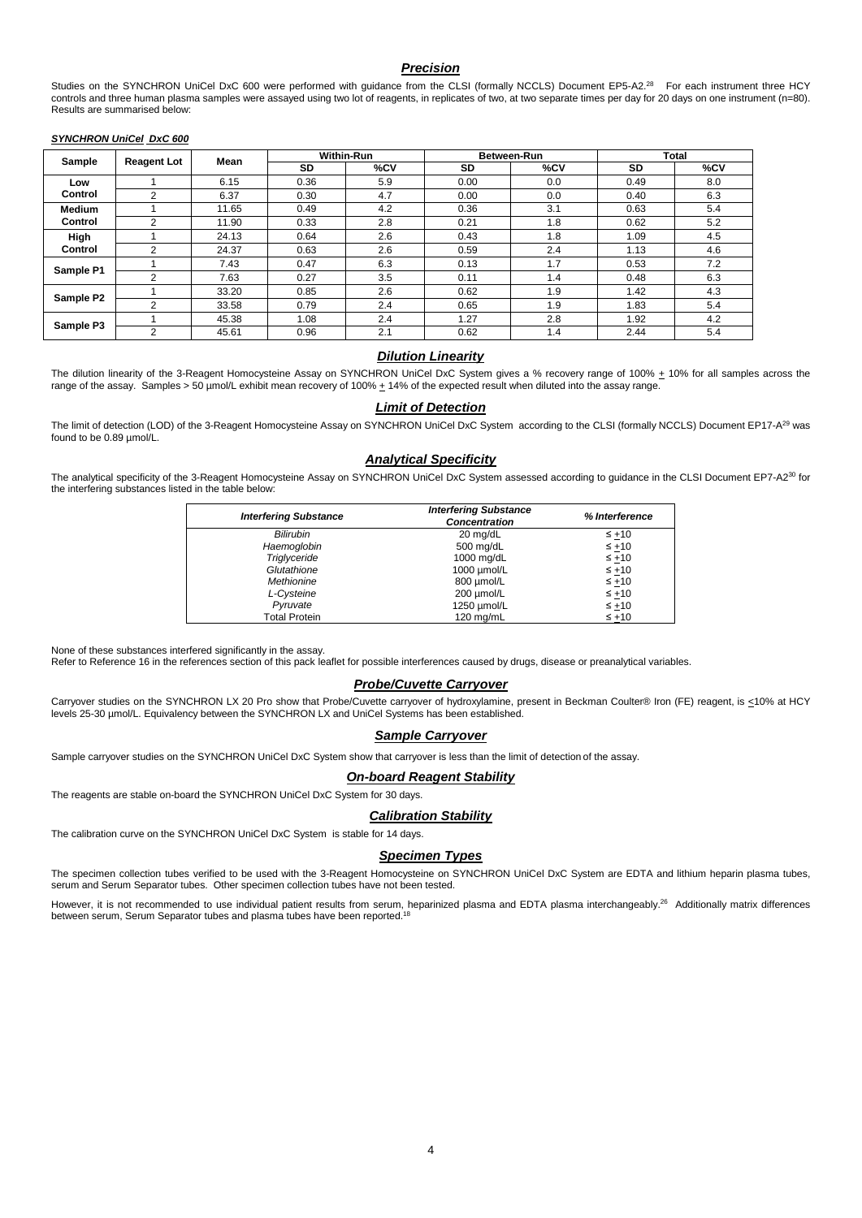#### *Precision*

Studies on the SYNCHRON UniCel DxC 600 were performed with guidance from the CLSI (formally NCCLS) Document EP5-A2.<sup>28</sup> For each instrument three HCY controls and three human plasma samples were assayed using two lot of reagents, in replicates of two, at two separate times per day for 20 days on one instrument (n=80). Results are summarised below:

#### *SYNCHRON UniCel DxC 600*

| Sample                   | <b>Reagent Lot</b> | Mean  | <b>Within-Run</b> |     | Between-Run |     | <b>Total</b> |     |
|--------------------------|--------------------|-------|-------------------|-----|-------------|-----|--------------|-----|
|                          |                    |       | SD                | %CV | SD          | %CV | SD           | %CV |
| Low                      |                    | 6.15  | 0.36              | 5.9 | 0.00        | 0.0 | 0.49         | 8.0 |
| Control                  | $\overline{2}$     | 6.37  | 0.30              | 4.7 | 0.00        | 0.0 | 0.40         | 6.3 |
| <b>Medium</b><br>Control |                    | 11.65 | 0.49              | 4.2 | 0.36        | 3.1 | 0.63         | 5.4 |
|                          | っ                  | 11.90 | 0.33              | 2.8 | 0.21        | 1.8 | 0.62         | 5.2 |
| High<br>Control          |                    | 24.13 | 0.64              | 2.6 | 0.43        | 1.8 | 1.09         | 4.5 |
|                          | $\sim$             | 24.37 | 0.63              | 2.6 | 0.59        | 2.4 | 1.13         | 4.6 |
|                          |                    | 7.43  | 0.47              | 6.3 | 0.13        | 1.7 | 0.53         | 7.2 |
| Sample P1                | $\Omega$           | 7.63  | 0.27              | 3.5 | 0.11        | 1.4 | 0.48         | 6.3 |
| Sample P2                |                    | 33.20 | 0.85              | 2.6 | 0.62        | 1.9 | 1.42         | 4.3 |
|                          | ◠                  | 33.58 | 0.79              | 2.4 | 0.65        | 1.9 | 1.83         | 5.4 |
| Sample P3                |                    | 45.38 | 1.08              | 2.4 | 1.27        | 2.8 | 1.92         | 4.2 |
|                          | 2                  | 45.61 | 0.96              | 2.1 | 0.62        | 1.4 | 2.44         | 5.4 |

#### *Dilution Linearity*

The dilution linearity of the 3-Reagent Homocysteine Assay on SYNCHRON UniCel DxC System gives a % recovery range of 100%  $\pm$  10% for all samples across the range of the assay. Samples > 50 µmol/L exhibit mean recovery of 100% + 14% of the expected result when diluted into the assay range.

#### *Limit of Detection*

The limit of detection (LOD) of the 3-Reagent Homocysteine Assay on SYNCHRON UniCel DxC System according to the CLSI (formally NCCLS) Document EP17-A<sup>29</sup> was found to be 0.89 µmol/L.

#### *Analytical Specificity*

The analytical specificity of the 3-Reagent Homocysteine Assay on SYNCHRON UniCel DxC System assessed according to guidance in the CLSI Document EP7-A2<sup>30</sup> for the interfering substances listed in the table below:

| <b>Interfering Substance</b> | <b>Interfering Substance</b><br><b>Concentration</b> | % Interference |
|------------------------------|------------------------------------------------------|----------------|
| <b>Bilirubin</b>             | 20 mg/dL                                             | $\leq +10$     |
| Haemoglobin                  | 500 mg/dL                                            | $\leq +10$     |
| Triglyceride                 | 1000 mg/dL                                           | $\leq +10$     |
| Glutathione                  | 1000 umol/L                                          | $\leq +10$     |
| Methionine                   | 800 µmol/L                                           | $\leq +10$     |
| L-Cysteine                   | 200 µmol/L                                           | $\leq +10$     |
| Pyruvate                     | 1250 umol/L                                          | $\leq +10$     |
| <b>Total Protein</b>         | 120 mg/mL                                            | $\leq +10$     |

None of these substances interfered significantly in the assay.

Refer to Reference 16 in the references section of this pack leaflet for possible interferences caused by drugs, disease or preanalytical variables.

#### *Probe/Cuvette Carryover*

Carryover studies on the SYNCHRON LX 20 Pro show that Probe/Cuvette carryover of hydroxylamine, present in Beckman Coulter® Iron (FE) reagent, is <10% at HCY levels 25-30 µmol/L. Equivalency between the SYNCHRON LX and UniCel Systems has been established.

#### *Sample Carryover*

Sample carryover studies on the SYNCHRON UniCel DxC System show that carryover is less than the limit of detection of the assay.

#### *On-board Reagent Stability*

The reagents are stable on-board the SYNCHRON UniCel DxC System for 30 days.

#### *Calibration Stability*

The calibration curve on the SYNCHRON UniCel DxC System is stable for 14 days.

#### *Specimen Types*

The specimen collection tubes verified to be used with the 3-Reagent Homocysteine on SYNCHRON UniCel DxC System are EDTA and lithium heparin plasma tubes, serum and Serum Separator tubes. Other specimen collection tubes have not been tested.

However, it is not recommended to use individual patient results from serum, heparinized plasma and EDTA plasma interchangeably.<sup>26</sup> Additionally matrix differences between serum, Serum Separator tubes and plasma tubes have been reported.<sup>18</sup>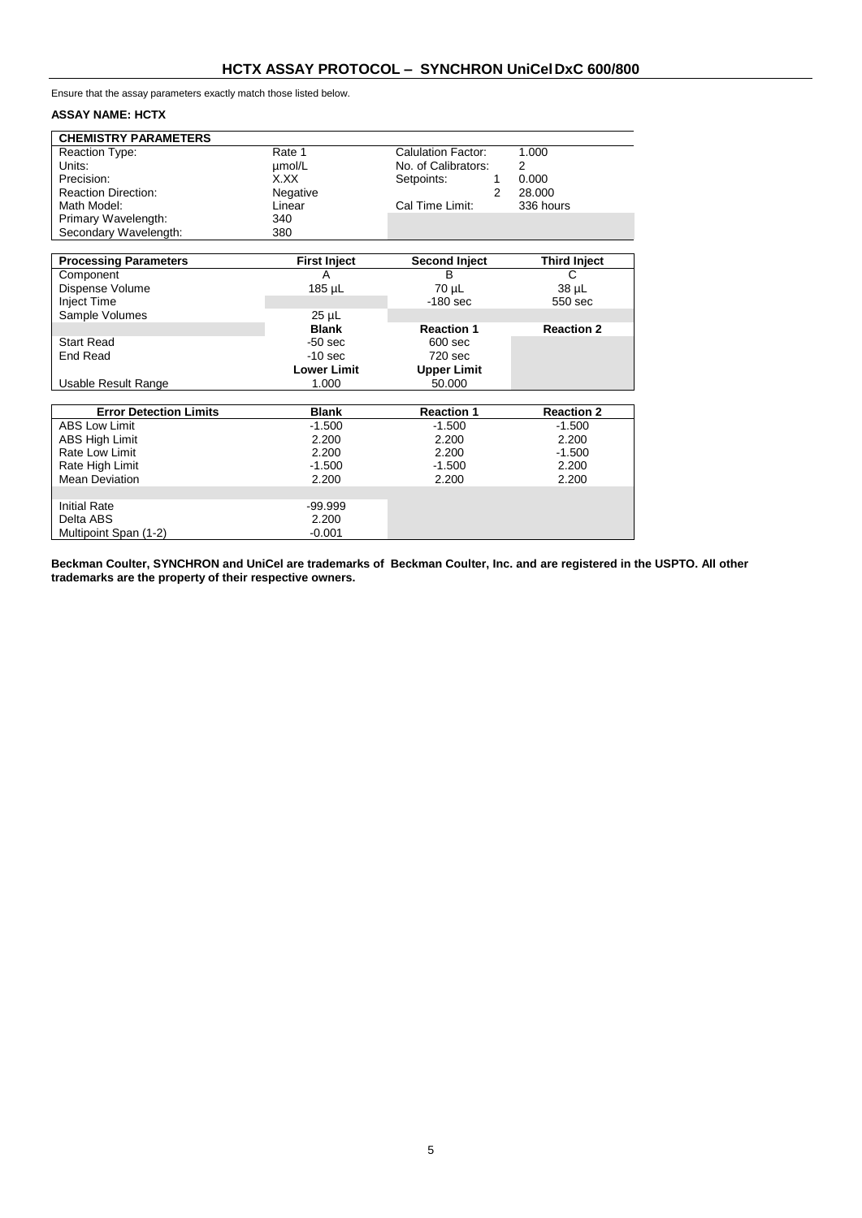Ensure that the assay parameters exactly match those listed below.

#### **ASSAY NAME: HCTX**

Multipoint Span (1-2)

| <b>CHEMISTRY PARAMETERS</b> |          |                     |           |
|-----------------------------|----------|---------------------|-----------|
| Reaction Type:              | Rate 1   | Calulation Factor:  | 1.000     |
| Units:                      | umol/L   | No. of Calibrators: | 2         |
| Precision:                  | X.XX     | Setpoints:          | 0.000     |
| <b>Reaction Direction:</b>  | Negative |                     | 28,000    |
| Math Model:                 | Linear   | Cal Time Limit:     | 336 hours |
| Primary Wavelength:         | 340      |                     |           |
| Secondary Wavelength:       | 380      |                     |           |

| <b>Processing Parameters</b>  | <b>First Inject</b> | <b>Second Inject</b> | <b>Third Inject</b> |
|-------------------------------|---------------------|----------------------|---------------------|
| Component                     | A                   | B                    | C                   |
| Dispense Volume               | 185 µL              | 70 µL                | 38 µL               |
| Inject Time                   |                     | $-180$ sec           | 550 sec             |
| Sample Volumes                | $25 \mu L$          |                      |                     |
|                               | <b>Blank</b>        | <b>Reaction 1</b>    | <b>Reaction 2</b>   |
| <b>Start Read</b>             | $-50$ sec           | $600$ sec            |                     |
| End Read                      | $-10$ sec           | 720 sec              |                     |
|                               | <b>Lower Limit</b>  | <b>Upper Limit</b>   |                     |
| Usable Result Range           | 1.000               | 50.000               |                     |
|                               |                     |                      |                     |
| <b>Error Detection Limits</b> | <b>Blank</b>        | <b>Reaction 1</b>    | <b>Reaction 2</b>   |
| <b>ABS Low Limit</b>          | $-1.500$            | $-1.500$             | $-1.500$            |
| <b>ABS High Limit</b>         | 2.200               | 2.200                | 2.200               |
| Rate Low Limit                | 2.200               | 2.200                | $-1.500$            |
| Rate High Limit               | $-1.500$            | $-1.500$             | 2.200               |
| <b>Mean Deviation</b>         | 2.200               | 2.200                | 2.200               |
|                               |                     |                      |                     |
| <b>Initial Rate</b>           | $-99.999$           |                      |                     |
| Delta ABS                     | 2.200               |                      |                     |
| Multipoint Span (1-2)         | $-0.001$            |                      |                     |

**Beckman Coulter, SYNCHRON and UniCel are trademarks of Beckman Coulter, Inc. and are registered in the USPTO. All other trademarks are the property of their respective owners.**